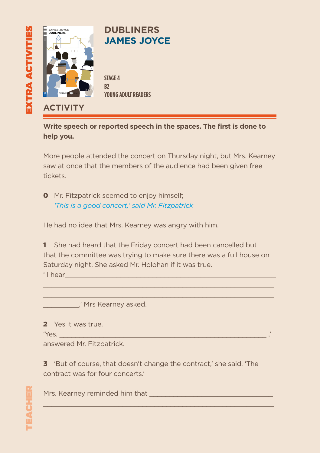

**Write speech or reported speech in the spaces. The first is done to help you.**

More people attended the concert on Thursday night, but Mrs. Kearney saw at once that the members of the audience had been given free tickets.

**0** Mr. Fitzpatrick seemed to enjoy himself; *'This is a good concert,' said Mr. Fitzpatrick*

He had no idea that Mrs. Kearney was angry with him.

1 She had heard that the Friday concert had been cancelled but that the committee was trying to make sure there was a full house on Saturday night. She asked Mr. Holohan if it was true.

 $\mathcal{L}_\mathcal{L}$  , and the set of the set of the set of the set of the set of the set of the set of the set of the set of the set of the set of the set of the set of the set of the set of the set of the set of the set of th  $\mathcal{L}_\mathcal{L}$  , and the set of the set of the set of the set of the set of the set of the set of the set of the set of the set of the set of the set of the set of the set of the set of the set of the set of the set of th

 $'$  I hear

\_\_\_\_\_\_\_\_\_,' Mrs Kearney asked.

2 Yes it was true.

'Yes, \_\_\_\_\_\_\_\_\_\_\_\_\_\_\_\_\_\_\_\_\_\_\_\_\_\_\_\_\_\_\_\_\_\_\_\_\_\_\_\_\_\_\_\_\_\_\_\_\_\_\_\_ ,'

answered Mr. Fitzpatrick.

3 'But of course, that doesn't change the contract,' she said. 'The contract was for four concerts.'

 $\mathcal{L}_\mathcal{L}$  , and the set of the set of the set of the set of the set of the set of the set of the set of the set of the set of the set of the set of the set of the set of the set of the set of the set of the set of th

Mrs. Kearney reminded him that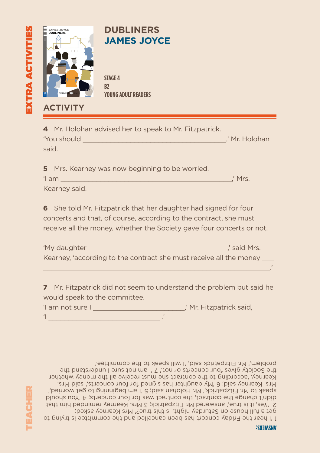

|       |             |  | 4 Mr. Holohan advised her to speak to Mr. Fitzpatrick. |                |
|-------|-------------|--|--------------------------------------------------------|----------------|
|       | 'You should |  |                                                        | .' Mr. Holohan |
| said. |             |  |                                                        |                |

| 5 Mrs. Kearney was now beginning to be worried. |         |
|-------------------------------------------------|---------|
| 'I am                                           | .' Mrs. |
| Kearney said.                                   |         |

6 She told Mr. Fitzpatrick that her daughter had signed for four concerts and that, of course, according to the contract, she must receive all the money, whether the Society gave four concerts or not.

| 'My daughter<br>.' said Mrs.                                       |  |
|--------------------------------------------------------------------|--|
| Kearney, 'according to the contract she must receive all the money |  |
|                                                                    |  |

7 Mr. Fitzpatrick did not seem to understand the problem but said he would speak to the committee.

| 'I am not sure I | ,' Mr. Fitzpatrick said, |  |  |
|------------------|--------------------------|--|--|
|                  |                          |  |  |

1 'I hear the Friday concert has been cancelled and the committee is trying to get a full house on Saturday night. Is this true?' Mrs Kearney asked; 2 'Yes, it is true,' answered Mr. Fitzpatrick; 3 Mrs. Kearney reminded him that didn't change the contract, the contract was for four concerts; 4 'You should speak to Mr. Fitzpatrick,' Mr. Holohan said; 5 'I am beginning to get worried,' Mrs. Kearney said; 6 'My daughter has signed for four concerts,' said Mrs. Kearney, 'according to the contract she must receive all the money whether the Society gives four concerts or not.' 7 'I am not sure I understand the problem,' Mr. Fitzpatrick said, 'I will speak to the committee.'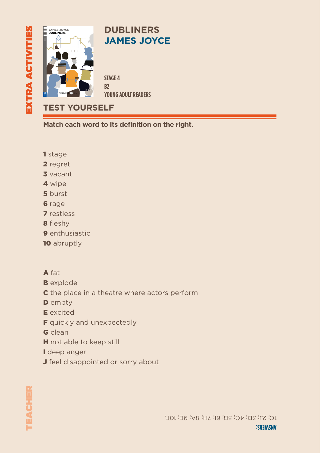

**Match each word to its definition on the right.**

- 1 stage
- 2 regret
- 3 vacant
- 4 wipe
- 5 burst
- **6** rage
- 7 restless
- 8 fleshy
- 9 enthusiastic
- 10 abruptly
- A fat
- **B** explode
- **C** the place in a theatre where actors perform
- **D** empty
- E excited
- **F** quickly and unexpectedly
- G clean
- **H** not able to keep still
- I deep anger
- **J** feel disappointed or sorry about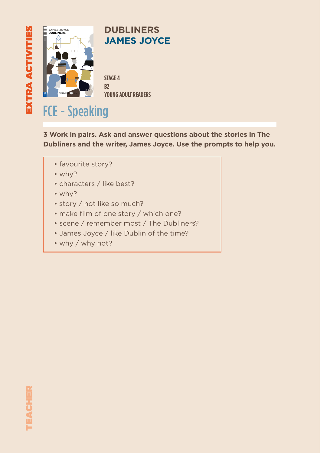

## **DUBLINERS JAMES JOYCE**

**STAGE 4 B2 YOUNG ADULT READERS**

## FCE - Speaking

**3 Work in pairs. Ask and answer questions about the stories in The Dubliners and the writer, James Joyce. Use the prompts to help you.**

- favourite story?
- why?
- characters / like best?
- why?
- story / not like so much?
- make film of one story / which one?
- scene / remember most / The Dubliners?
- James Joyce / like Dublin of the time?
- why / why not?